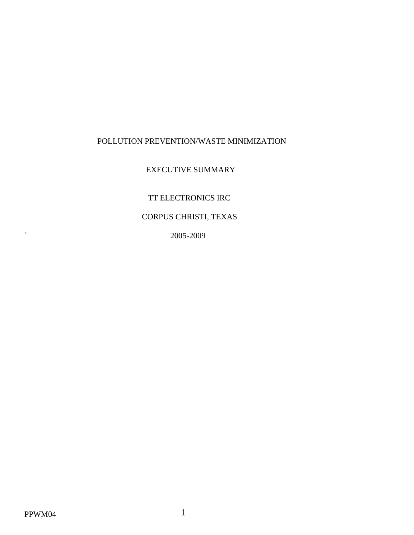## POLLUTION PREVENTION/WASTE MINIMIZATION

## EXECUTIVE SUMMARY

TT ELECTRONICS IRC

# CORPUS CHRISTI, TEXAS

` 2005-2009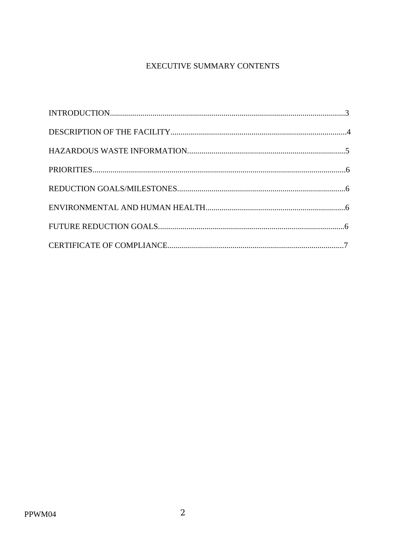# EXECUTIVE SUMMARY CONTENTS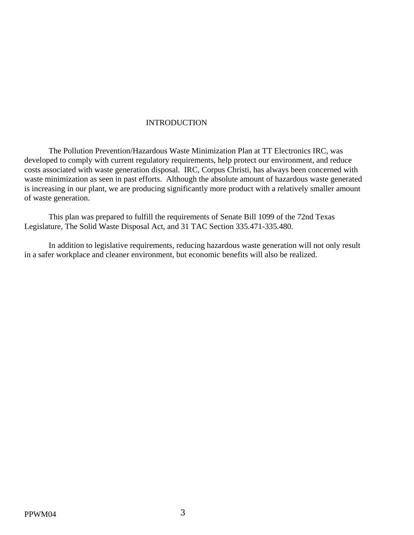#### INTRODUCTION

 The Pollution Prevention/Hazardous Waste Minimization Plan at TT Electronics IRC, was developed to comply with current regulatory requirements, help protect our environment, and reduce costs associated with waste generation disposal. IRC, Corpus Christi, has always been concerned with waste minimization as seen in past efforts. Although the absolute amount of hazardous waste generated is increasing in our plant, we are producing significantly more product with a relatively smaller amount of waste generation.

 This plan was prepared to fulfill the requirements of Senate Bill 1099 of the 72nd Texas Legislature, The Solid Waste Disposal Act, and 31 TAC Section 335.471-335.480.

 In addition to legislative requirements, reducing hazardous waste generation will not only result in a safer workplace and cleaner environment, but economic benefits will also be realized.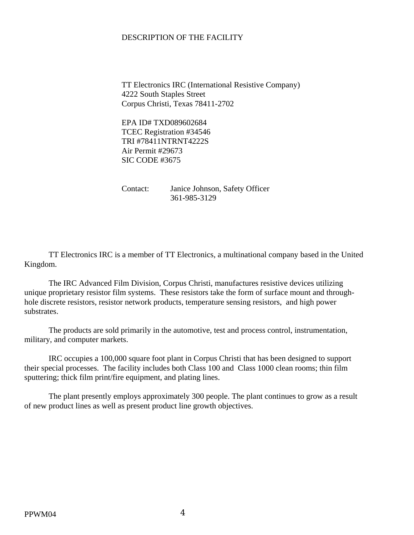### DESCRIPTION OF THE FACILITY

 TT Electronics IRC (International Resistive Company) 4222 South Staples Street Corpus Christi, Texas 78411-2702

 EPA ID# TXD089602684 TCEC Registration #34546 TRI #78411NTRNT4222S Air Permit #29673 SIC CODE #3675

 Contact: Janice Johnson, Safety Officer 361-985-3129

 TT Electronics IRC is a member of TT Electronics, a multinational company based in the United Kingdom.

 The IRC Advanced Film Division, Corpus Christi, manufactures resistive devices utilizing unique proprietary resistor film systems. These resistors take the form of surface mount and throughhole discrete resistors, resistor network products, temperature sensing resistors, and high power substrates.

 The products are sold primarily in the automotive, test and process control, instrumentation, military, and computer markets.

 IRC occupies a 100,000 square foot plant in Corpus Christi that has been designed to support their special processes. The facility includes both Class 100 and Class 1000 clean rooms; thin film sputtering; thick film print/fire equipment, and plating lines.

 The plant presently employs approximately 300 people. The plant continues to grow as a result of new product lines as well as present product line growth objectives.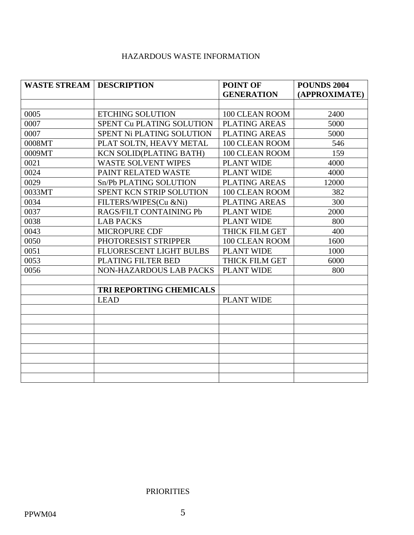## HAZARDOUS WASTE INFORMATION

| <b>WASTE STREAM   DESCRIPTION</b> |                                | POINT OF             | <b>POUNDS 2004</b> |
|-----------------------------------|--------------------------------|----------------------|--------------------|
|                                   |                                | <b>GENERATION</b>    | (APPROXIMATE)      |
|                                   |                                |                      |                    |
| 0005                              | <b>ETCHING SOLUTION</b>        | 100 CLEAN ROOM       | 2400               |
| 0007                              | SPENT Cu PLATING SOLUTION      | <b>PLATING AREAS</b> | 5000               |
| 0007                              | SPENT Ni PLATING SOLUTION      | PLATING AREAS        | 5000               |
| 0008MT                            | PLAT SOLTN, HEAVY METAL        | 100 CLEAN ROOM       | 546                |
| 0009MT                            | <b>KCN SOLID(PLATING BATH)</b> | 100 CLEAN ROOM       | 159                |
| 0021                              | <b>WASTE SOLVENT WIPES</b>     | <b>PLANT WIDE</b>    | 4000               |
| 0024                              | PAINT RELATED WASTE            | <b>PLANT WIDE</b>    | 4000               |
| 0029                              | Sn/Pb PLATING SOLUTION         | <b>PLATING AREAS</b> | 12000              |
| 0033MT                            | SPENT KCN STRIP SOLUTION       | 100 CLEAN ROOM       | 382                |
| 0034                              | FILTERS/WIPES(Cu &Ni)          | <b>PLATING AREAS</b> | 300                |
| 0037                              | RAGS/FILT CONTAINING Pb        | PLANT WIDE           | 2000               |
| 0038                              | <b>LAB PACKS</b>               | <b>PLANT WIDE</b>    | 800                |
| 0043                              | <b>MICROPURE CDF</b>           | THICK FILM GET       | 400                |
| 0050                              | PHOTORESIST STRIPPER           | 100 CLEAN ROOM       | 1600               |
| 0051                              | FLUORESCENT LIGHT BULBS        | <b>PLANT WIDE</b>    | 1000               |
| 0053                              | PLATING FILTER BED             | THICK FILM GET       | 6000               |
| 0056                              | <b>NON-HAZARDOUS LAB PACKS</b> | <b>PLANT WIDE</b>    | 800                |
|                                   |                                |                      |                    |
|                                   | TRI REPORTING CHEMICALS        |                      |                    |
|                                   | <b>LEAD</b>                    | <b>PLANT WIDE</b>    |                    |
|                                   |                                |                      |                    |
|                                   |                                |                      |                    |
|                                   |                                |                      |                    |
|                                   |                                |                      |                    |
|                                   |                                |                      |                    |
|                                   |                                |                      |                    |
|                                   |                                |                      |                    |
|                                   |                                |                      |                    |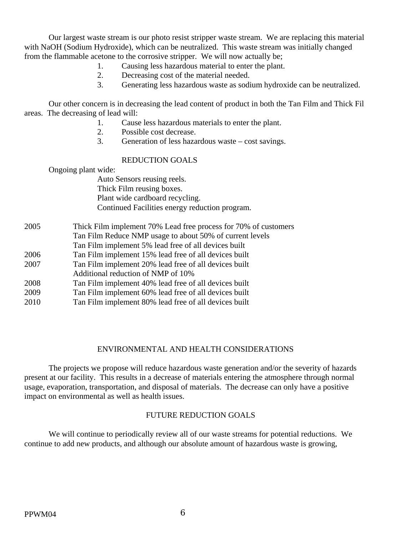Our largest waste stream is our photo resist stripper waste stream. We are replacing this material with NaOH (Sodium Hydroxide), which can be neutralized. This waste stream was initially changed from the flammable acetone to the corrosive stripper. We will now actually be;

- 1. Causing less hazardous material to enter the plant.
- 2. Decreasing cost of the material needed.
- 3. Generating less hazardous waste as sodium hydroxide can be neutralized.

 Our other concern is in decreasing the lead content of product in both the Tan Film and Thick Fil areas. The decreasing of lead will:

- 1. Cause less hazardous materials to enter the plant.
- 2. Possible cost decrease.
- 3. Generation of less hazardous waste cost savings.

#### REDUCTION GOALS

Ongoing plant wide:

 Auto Sensors reusing reels. Thick Film reusing boxes. Plant wide cardboard recycling. Continued Facilities energy reduction program.

| 2005 | Thick Film implement 70% Lead free process for 70% of customers |
|------|-----------------------------------------------------------------|
|      | Tan Film Reduce NMP usage to about 50% of current levels        |
|      | Tan Film implement 5% lead free of all devices built            |
| 2006 | Tan Film implement 15% lead free of all devices built           |
| 2007 | Tan Film implement 20% lead free of all devices built           |
|      | Additional reduction of NMP of 10%                              |
| 2008 | Tan Film implement 40% lead free of all devices built           |
| 2009 | Tan Film implement 60% lead free of all devices built           |
| 2010 | Tan Film implement 80% lead free of all devices built           |

#### ENVIRONMENTAL AND HEALTH CONSIDERATIONS

 The projects we propose will reduce hazardous waste generation and/or the severity of hazards present at our facility. This results in a decrease of materials entering the atmosphere through normal usage, evaporation, transportation, and disposal of materials. The decrease can only have a positive impact on environmental as well as health issues.

#### FUTURE REDUCTION GOALS

 We will continue to periodically review all of our waste streams for potential reductions. We continue to add new products, and although our absolute amount of hazardous waste is growing,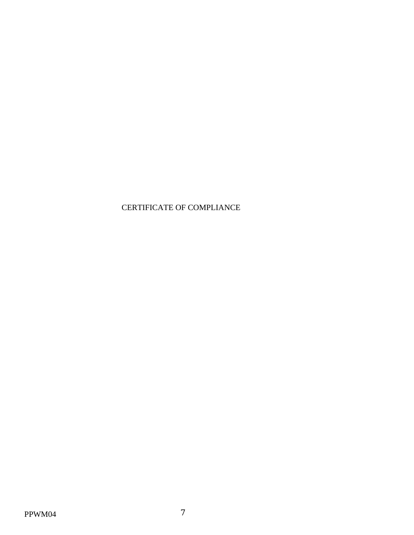# CERTIFICATE OF COMPLIANCE